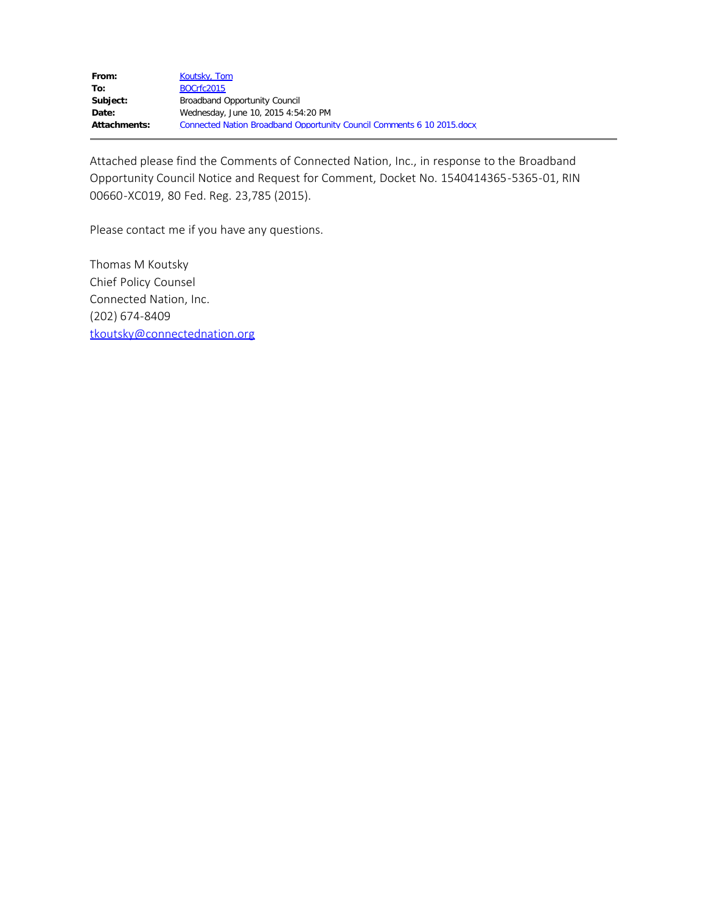Attached please find the Comments of Connected Nation, Inc., in response to the Broadband Opportunity Council Notice and Request for Comment, Docket No. 1540414365-5365-01, RIN 00660-XC019, 80 Fed. Reg. 23,785 (2015).

Please contact me if you have any questions.

Thomas M Koutsky Chief Policy Counsel Connected Nation, Inc. (202) 674-8409 [tkoutsky@connectednation.org](mailto:tkoutsky@connectednation.org)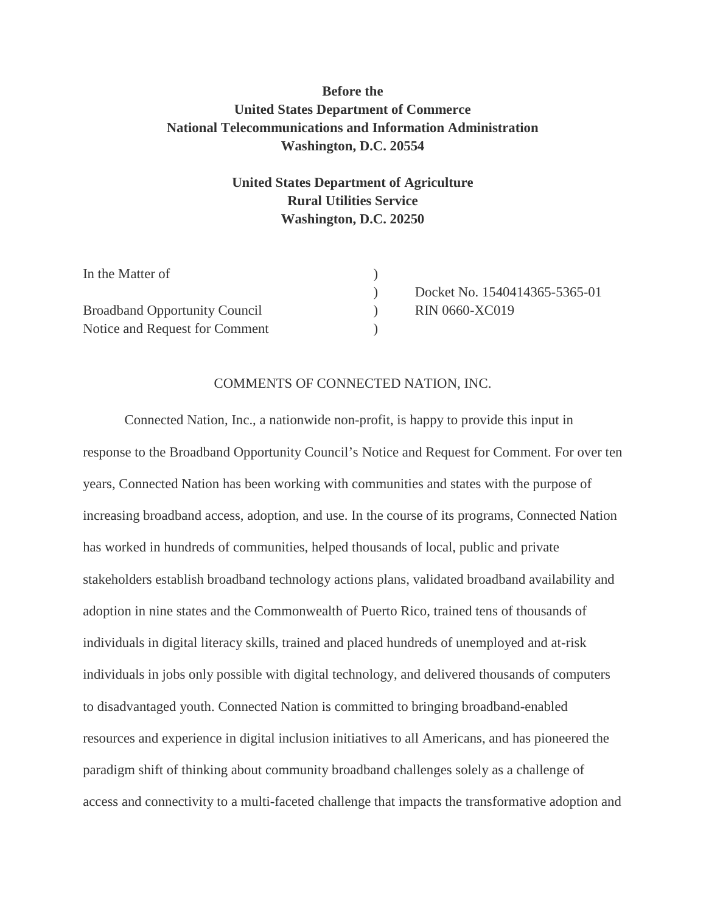## **Before the United States Department of Commerce National Telecommunications and Information Administration Washington, D.C. 20554**

## **United States Department of Agriculture Rural Utilities Service Washington, D.C. 20250**

| In the Matter of                     |                               |
|--------------------------------------|-------------------------------|
|                                      | Docket No. 1540414365-5365-01 |
| <b>Broadband Opportunity Council</b> | <b>RIN 0660-XC019</b>         |
| Notice and Request for Comment       |                               |

#### COMMENTS OF CONNECTED NATION, INC.

Connected Nation, Inc., a nationwide non-profit, is happy to provide this input in response to the Broadband Opportunity Council's Notice and Request for Comment. For over ten years, Connected Nation has been working with communities and states with the purpose of increasing broadband access, adoption, and use. In the course of its programs, Connected Nation has worked in hundreds of communities, helped thousands of local, public and private stakeholders establish broadband technology actions plans, validated broadband availability and adoption in nine states and the Commonwealth of Puerto Rico, trained tens of thousands of individuals in digital literacy skills, trained and placed hundreds of unemployed and at-risk individuals in jobs only possible with digital technology, and delivered thousands of computers to disadvantaged youth. Connected Nation is committed to bringing broadband-enabled resources and experience in digital inclusion initiatives to all Americans, and has pioneered the paradigm shift of thinking about community broadband challenges solely as a challenge of access and connectivity to a multi-faceted challenge that impacts the transformative adoption and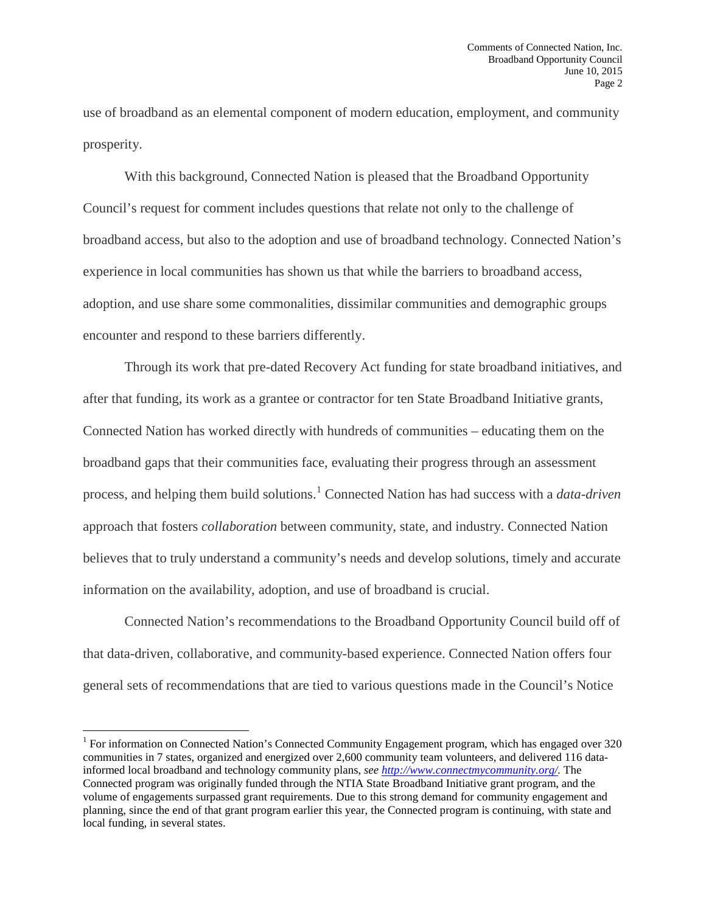use of broadband as an elemental component of modern education, employment, and community prosperity.

With this background, Connected Nation is pleased that the Broadband Opportunity Council's request for comment includes questions that relate not only to the challenge of broadband access, but also to the adoption and use of broadband technology. Connected Nation's experience in local communities has shown us that while the barriers to broadband access, adoption, and use share some commonalities, dissimilar communities and demographic groups encounter and respond to these barriers differently.

Through its work that pre-dated Recovery Act funding for state broadband initiatives, and after that funding, its work as a grantee or contractor for ten State Broadband Initiative grants, Connected Nation has worked directly with hundreds of communities – educating them on the broadband gaps that their communities face, evaluating their progress through an assessment process, and helping them build solutions.[1](#page-2-0) Connected Nation has had success with a *data-driven* approach that fosters *collaboration* between community, state, and industry. Connected Nation believes that to truly understand a community's needs and develop solutions, timely and accurate information on the availability, adoption, and use of broadband is crucial.

Connected Nation's recommendations to the Broadband Opportunity Council build off of that data-driven, collaborative, and community-based experience. Connected Nation offers four general sets of recommendations that are tied to various questions made in the Council's Notice

<span id="page-2-0"></span><sup>&</sup>lt;sup>1</sup> For information on Connected Nation's Connected Community Engagement program, which has engaged over 320 communities in 7 states, organized and energized over 2,600 community team volunteers, and delivered 116 datainformed local broadband and technology community plans, *see [http://www.connectmycommunity.org/.](http://www.connectmycommunity.org/)* The Connected program was originally funded through the NTIA State Broadband Initiative grant program, and the volume of engagements surpassed grant requirements. Due to this strong demand for community engagement and planning, since the end of that grant program earlier this year, the Connected program is continuing, with state and local funding, in several states.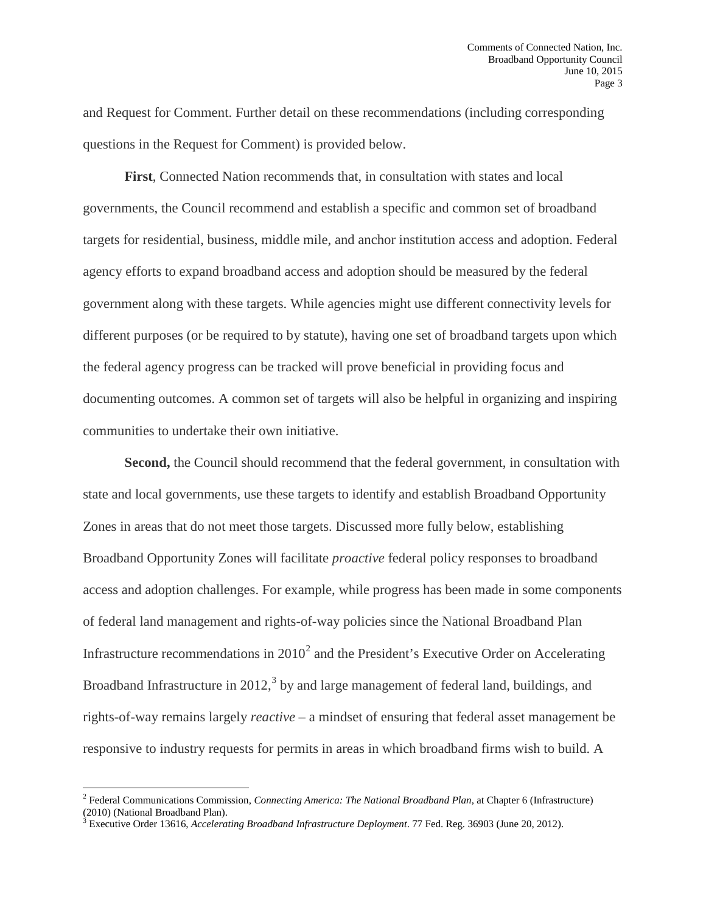and Request for Comment. Further detail on these recommendations (including corresponding questions in the Request for Comment) is provided below.

**First**, Connected Nation recommends that, in consultation with states and local governments, the Council recommend and establish a specific and common set of broadband targets for residential, business, middle mile, and anchor institution access and adoption. Federal agency efforts to expand broadband access and adoption should be measured by the federal government along with these targets. While agencies might use different connectivity levels for different purposes (or be required to by statute), having one set of broadband targets upon which the federal agency progress can be tracked will prove beneficial in providing focus and documenting outcomes. A common set of targets will also be helpful in organizing and inspiring communities to undertake their own initiative.

Second, the Council should recommend that the federal government, in consultation with state and local governments, use these targets to identify and establish Broadband Opportunity Zones in areas that do not meet those targets. Discussed more fully below, establishing Broadband Opportunity Zones will facilitate *proactive* federal policy responses to broadband access and adoption challenges. For example, while progress has been made in some components of federal land management and rights-of-way policies since the National Broadband Plan Infrastructure recommendations in  $2010<sup>2</sup>$  $2010<sup>2</sup>$  and the President's Executive Order on Accelerating Broadband Infrastructure in 2012,  $3$  by and large management of federal land, buildings, and rights-of-way remains largely *reactive –* a mindset of ensuring that federal asset management be responsive to industry requests for permits in areas in which broadband firms wish to build. A

<span id="page-3-0"></span><sup>2</sup> Federal Communications Commission, *Connecting America: The National Broadband Plan*, at Chapter 6 (Infrastructure) (2010) (National Broadband Plan).

<span id="page-3-1"></span><sup>&</sup>lt;sup>3</sup> Executive Order 13616, *Accelerating Broadband Infrastructure Deployment*. 77 Fed. Reg. 36903 (June 20, 2012).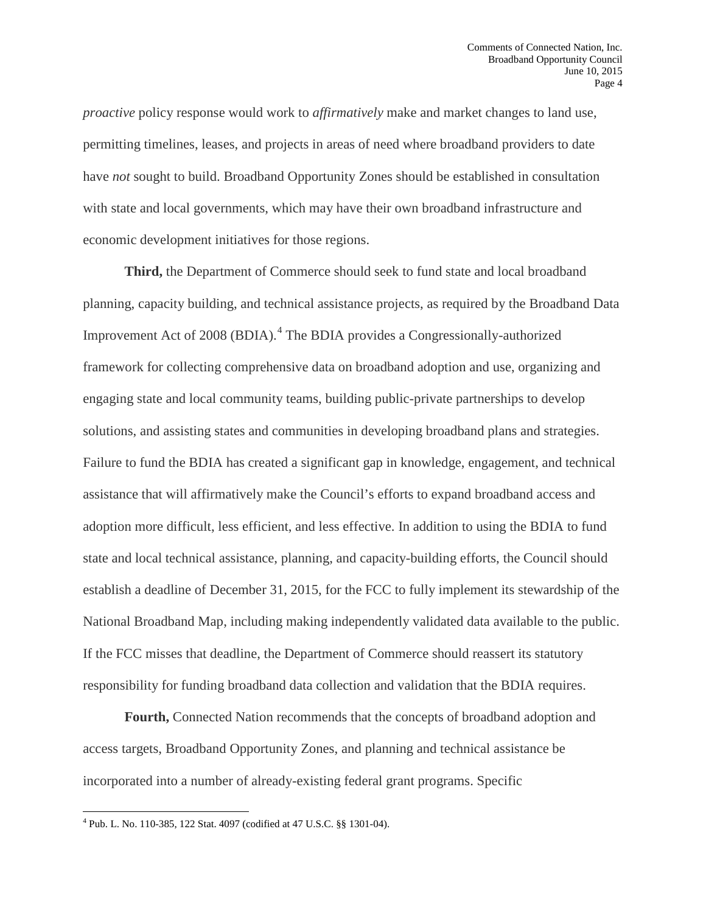*proactive* policy response would work to *affirmatively* make and market changes to land use, permitting timelines, leases, and projects in areas of need where broadband providers to date have *not* sought to build. Broadband Opportunity Zones should be established in consultation with state and local governments, which may have their own broadband infrastructure and economic development initiatives for those regions.

**Third,** the Department of Commerce should seek to fund state and local broadband planning, capacity building, and technical assistance projects, as required by the Broadband Data Improvement Act of 2008 (BDIA). [4](#page-4-0) The BDIA provides a Congressionally-authorized framework for collecting comprehensive data on broadband adoption and use, organizing and engaging state and local community teams, building public-private partnerships to develop solutions, and assisting states and communities in developing broadband plans and strategies. Failure to fund the BDIA has created a significant gap in knowledge, engagement, and technical assistance that will affirmatively make the Council's efforts to expand broadband access and adoption more difficult, less efficient, and less effective. In addition to using the BDIA to fund state and local technical assistance, planning, and capacity-building efforts, the Council should establish a deadline of December 31, 2015, for the FCC to fully implement its stewardship of the National Broadband Map, including making independently validated data available to the public. If the FCC misses that deadline, the Department of Commerce should reassert its statutory responsibility for funding broadband data collection and validation that the BDIA requires.

**Fourth,** Connected Nation recommends that the concepts of broadband adoption and access targets, Broadband Opportunity Zones, and planning and technical assistance be incorporated into a number of already-existing federal grant programs. Specific

l

<span id="page-4-0"></span><sup>4</sup> Pub. L. No. 110-385, 122 Stat. 4097 (codified at 47 U.S.C. §§ 1301-04).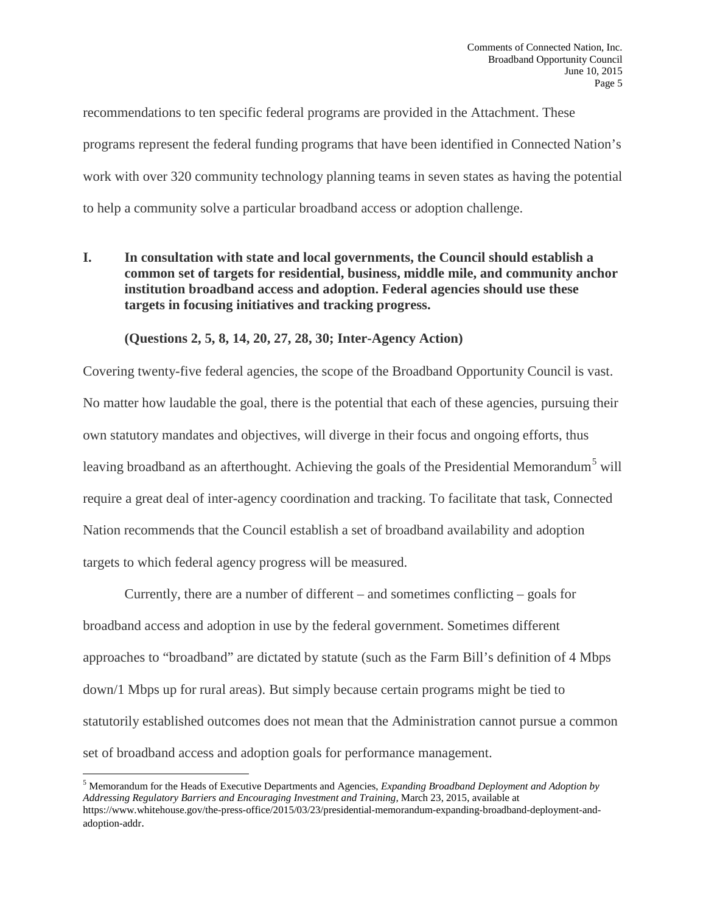recommendations to ten specific federal programs are provided in the Attachment. These programs represent the federal funding programs that have been identified in Connected Nation's work with over 320 community technology planning teams in seven states as having the potential to help a community solve a particular broadband access or adoption challenge.

**I. In consultation with state and local governments, the Council should establish a common set of targets for residential, business, middle mile, and community anchor institution broadband access and adoption. Federal agencies should use these targets in focusing initiatives and tracking progress.**

**(Questions 2, 5, 8, 14, 20, 27, 28, 30; Inter-Agency Action)**

Covering twenty-five federal agencies, the scope of the Broadband Opportunity Council is vast. No matter how laudable the goal, there is the potential that each of these agencies, pursuing their own statutory mandates and objectives, will diverge in their focus and ongoing efforts, thus leaving broadband as an afterthought. Achieving the goals of the Presidential Memorandum<sup>[5](#page-5-0)</sup> will require a great deal of inter-agency coordination and tracking. To facilitate that task, Connected Nation recommends that the Council establish a set of broadband availability and adoption targets to which federal agency progress will be measured.

Currently, there are a number of different – and sometimes conflicting – goals for broadband access and adoption in use by the federal government. Sometimes different approaches to "broadband" are dictated by statute (such as the Farm Bill's definition of 4 Mbps down/1 Mbps up for rural areas). But simply because certain programs might be tied to statutorily established outcomes does not mean that the Administration cannot pursue a common set of broadband access and adoption goals for performance management.

<span id="page-5-0"></span><sup>5</sup> Memorandum for the Heads of Executive Departments and Agencies, *Expanding Broadband Deployment and Adoption by Addressing Regulatory Barriers and Encouraging Investment and Training,* March 23, 2015, available at https://www.whitehouse.gov/the-press-office/2015/03/23/presidential-memorandum-expanding-broadband-deployment-andadoption-addr.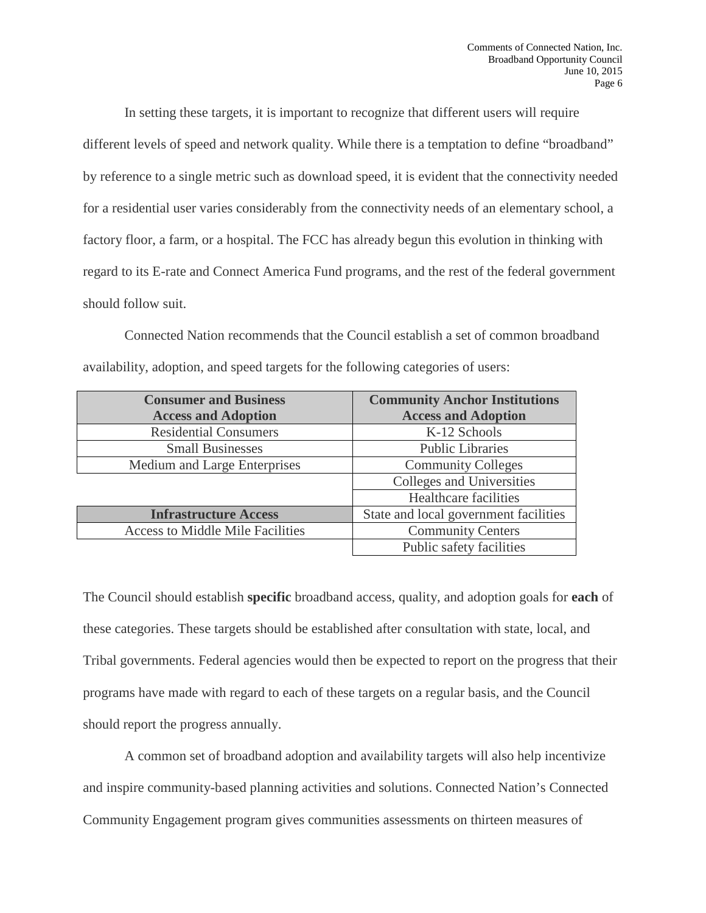In setting these targets, it is important to recognize that different users will require different levels of speed and network quality. While there is a temptation to define "broadband" by reference to a single metric such as download speed, it is evident that the connectivity needed for a residential user varies considerably from the connectivity needs of an elementary school, a factory floor, a farm, or a hospital. The FCC has already begun this evolution in thinking with regard to its E-rate and Connect America Fund programs, and the rest of the federal government should follow suit.

Connected Nation recommends that the Council establish a set of common broadband availability, adoption, and speed targets for the following categories of users:

| <b>Consumer and Business</b>            | <b>Community Anchor Institutions</b>  |
|-----------------------------------------|---------------------------------------|
| <b>Access and Adoption</b>              | <b>Access and Adoption</b>            |
| <b>Residential Consumers</b>            | K-12 Schools                          |
| <b>Small Businesses</b>                 | <b>Public Libraries</b>               |
| Medium and Large Enterprises            | <b>Community Colleges</b>             |
|                                         | Colleges and Universities             |
|                                         | <b>Healthcare</b> facilities          |
| <b>Infrastructure Access</b>            | State and local government facilities |
| <b>Access to Middle Mile Facilities</b> | <b>Community Centers</b>              |
|                                         | Public safety facilities              |

The Council should establish **specific** broadband access, quality, and adoption goals for **each** of these categories. These targets should be established after consultation with state, local, and Tribal governments. Federal agencies would then be expected to report on the progress that their programs have made with regard to each of these targets on a regular basis, and the Council should report the progress annually.

A common set of broadband adoption and availability targets will also help incentivize and inspire community-based planning activities and solutions. Connected Nation's Connected Community Engagement program gives communities assessments on thirteen measures of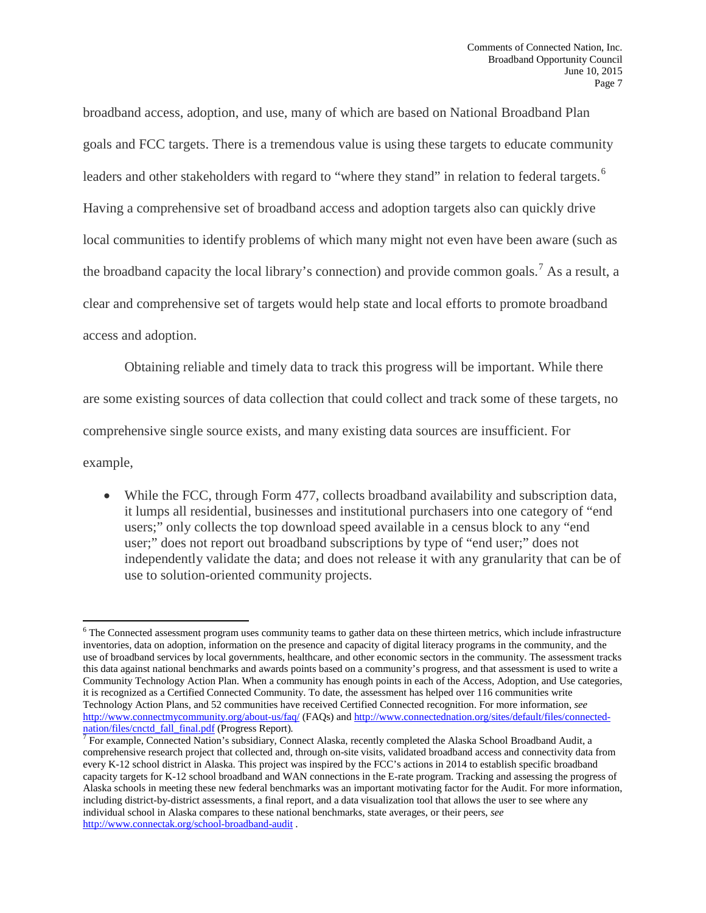broadband access, adoption, and use, many of which are based on National Broadband Plan goals and FCC targets. There is a tremendous value is using these targets to educate community leaders and other stakeholders with regard to "where they stand" in relation to federal targets.<sup>[6](#page-7-0)</sup> Having a comprehensive set of broadband access and adoption targets also can quickly drive local communities to identify problems of which many might not even have been aware (such as the broadband capacity the local library's connection) and provide common goals.<sup>[7](#page-7-1)</sup> As a result, a clear and comprehensive set of targets would help state and local efforts to promote broadband access and adoption.

Obtaining reliable and timely data to track this progress will be important. While there are some existing sources of data collection that could collect and track some of these targets, no comprehensive single source exists, and many existing data sources are insufficient. For

example,

• While the FCC, through Form 477, collects broadband availability and subscription data, it lumps all residential, businesses and institutional purchasers into one category of "end users;" only collects the top download speed available in a census block to any "end user;" does not report out broadband subscriptions by type of "end user;" does not independently validate the data; and does not release it with any granularity that can be of use to solution-oriented community projects.

<span id="page-7-0"></span> $\overline{\phantom{a}}$ <sup>6</sup> The Connected assessment program uses community teams to gather data on these thirteen metrics, which include infrastructure inventories, data on adoption, information on the presence and capacity of digital literacy programs in the community, and the use of broadband services by local governments, healthcare, and other economic sectors in the community. The assessment tracks this data against national benchmarks and awards points based on a community's progress, and that assessment is used to write a Community Technology Action Plan. When a community has enough points in each of the Access, Adoption, and Use categories, it is recognized as a Certified Connected Community. To date, the assessment has helped over 116 communities write Technology Action Plans, and 52 communities have received Certified Connected recognition. For more information, *see*  <http://www.connectmycommunity.org/about-us/faq/> (FAQs) and [http://www.connectednation.org/sites/default/files/connected](http://www.connectednation.org/sites/default/files/connected-nation/files/cnctd_fall_final.pdf)[nation/files/cnctd\\_fall\\_final.pdf](http://www.connectednation.org/sites/default/files/connected-nation/files/cnctd_fall_final.pdf) (Progress Report).<br><sup>7</sup> For example, Connected Nation's subsidiary, Connect Alaska, recently completed the Alaska School Broadband Audit, a

<span id="page-7-1"></span>comprehensive research project that collected and, through on-site visits, validated broadband access and connectivity data from every K-12 school district in Alaska. This project was inspired by the FCC's actions in 2014 to establish specific broadband capacity targets for K-12 school broadband and WAN connections in the E-rate program. Tracking and assessing the progress of Alaska schools in meeting these new federal benchmarks was an important motivating factor for the Audit. For more information, including district-by-district assessments, a final report, and a data visualization tool that allows the user to see where any individual school in Alaska compares to these national benchmarks, state averages, or their peers, *see*  <http://www.connectak.org/school-broadband-audit> .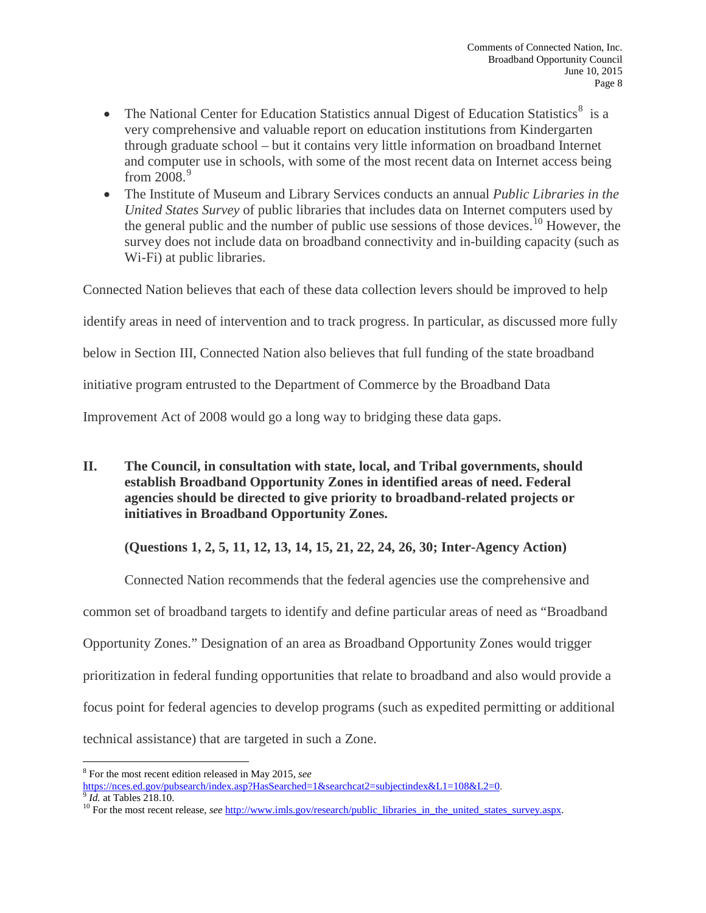- The National Center for Education Statistics annual Digest of Education Statistics<sup>[8](#page-8-0)</sup> is a very comprehensive and valuable report on education institutions from Kindergarten through graduate school – but it contains very little information on broadband Internet and computer use in schools, with some of the most recent data on Internet access being from  $2008.<sup>9</sup>$  $2008.<sup>9</sup>$  $2008.<sup>9</sup>$
- The Institute of Museum and Library Services conducts an annual *Public Libraries in the United States Survey* of public libraries that includes data on Internet computers used by the general public and the number of public use sessions of those devices.<sup>[10](#page-8-2)</sup> However, the survey does not include data on broadband connectivity and in-building capacity (such as Wi-Fi) at public libraries.

Connected Nation believes that each of these data collection levers should be improved to help

identify areas in need of intervention and to track progress. In particular, as discussed more fully

below in Section III, Connected Nation also believes that full funding of the state broadband

initiative program entrusted to the Department of Commerce by the Broadband Data

Improvement Act of 2008 would go a long way to bridging these data gaps.

**II. The Council, in consultation with state, local, and Tribal governments, should establish Broadband Opportunity Zones in identified areas of need. Federal agencies should be directed to give priority to broadband-related projects or initiatives in Broadband Opportunity Zones.**

## **(Questions 1, 2, 5, 11, 12, 13, 14, 15, 21, 22, 24, 26, 30; Inter-Agency Action)**

Connected Nation recommends that the federal agencies use the comprehensive and

common set of broadband targets to identify and define particular areas of need as "Broadband

Opportunity Zones." Designation of an area as Broadband Opportunity Zones would trigger

prioritization in federal funding opportunities that relate to broadband and also would provide a

focus point for federal agencies to develop programs (such as expedited permitting or additional

technical assistance) that are targeted in such a Zone.

<span id="page-8-0"></span><sup>&</sup>lt;sup>8</sup> For the most recent edition released in May 2015, *see* https://nces.ed.gov/pubsearch/index.asp?HasSearched=1&searchcat2=subjectindex&L1=108&L2=0.

<span id="page-8-2"></span><span id="page-8-1"></span> $\frac{9}{2}$  *Id.* at Tables 218.10.<br><sup>10</sup> For the most recent release, *see* http://www.imls.gov/research/public libraries in the united states survey.aspx.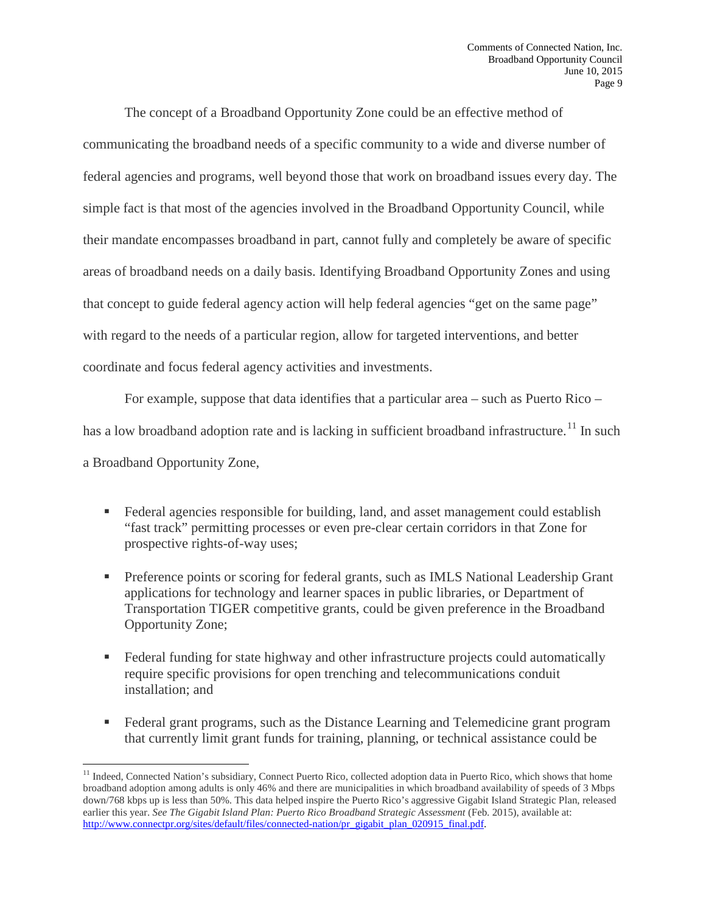The concept of a Broadband Opportunity Zone could be an effective method of communicating the broadband needs of a specific community to a wide and diverse number of federal agencies and programs, well beyond those that work on broadband issues every day. The simple fact is that most of the agencies involved in the Broadband Opportunity Council, while their mandate encompasses broadband in part, cannot fully and completely be aware of specific areas of broadband needs on a daily basis. Identifying Broadband Opportunity Zones and using that concept to guide federal agency action will help federal agencies "get on the same page" with regard to the needs of a particular region, allow for targeted interventions, and better coordinate and focus federal agency activities and investments.

For example, suppose that data identifies that a particular area – such as Puerto Rico – has a low broadband adoption rate and is lacking in sufficient broadband infrastructure.<sup>[11](#page-9-0)</sup> In such a Broadband Opportunity Zone,

- Federal agencies responsible for building, land, and asset management could establish "fast track" permitting processes or even pre-clear certain corridors in that Zone for prospective rights-of-way uses;
- **Preference points or scoring for federal grants, such as IMLS National Leadership Grant** applications for technology and learner spaces in public libraries, or Department of Transportation TIGER competitive grants, could be given preference in the Broadband Opportunity Zone;
- **Federal funding for state highway and other infrastructure projects could automatically** require specific provisions for open trenching and telecommunications conduit installation; and
- Federal grant programs, such as the Distance Learning and Telemedicine grant program that currently limit grant funds for training, planning, or technical assistance could be

<span id="page-9-0"></span> $11$  Indeed, Connected Nation's subsidiary, Connect Puerto Rico, collected adoption data in Puerto Rico, which shows that home broadband adoption among adults is only 46% and there are municipalities in which broadband availability of speeds of 3 Mbps down/768 kbps up is less than 50%. This data helped inspire the Puerto Rico's aggressive Gigabit Island Strategic Plan, released earlier this year. See The Gigabit Island Plan: Puerto Rico Broadband Strategic Assessment (Feb. 2015), available at: [http://www.connectpr.org/sites/default/files/connected-nation/pr\\_gigabit\\_plan\\_020915\\_final.pdf.](http://www.connectpr.org/sites/default/files/connected-nation/pr_gigabit_plan_020915_final.pdf)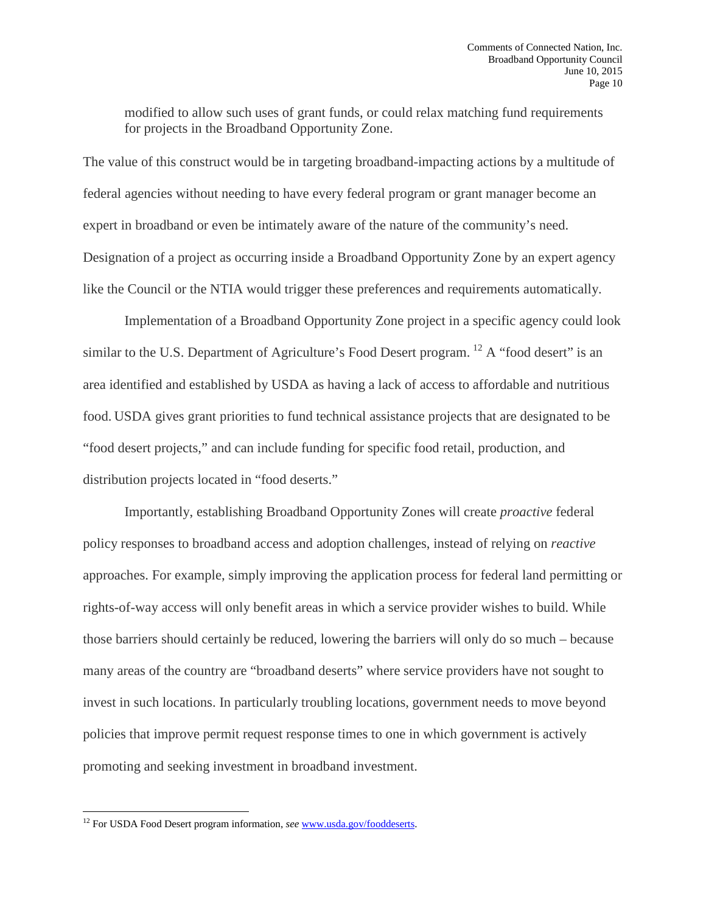modified to allow such uses of grant funds, or could relax matching fund requirements for projects in the Broadband Opportunity Zone.

The value of this construct would be in targeting broadband-impacting actions by a multitude of federal agencies without needing to have every federal program or grant manager become an expert in broadband or even be intimately aware of the nature of the community's need. Designation of a project as occurring inside a Broadband Opportunity Zone by an expert agency like the Council or the NTIA would trigger these preferences and requirements automatically.

Implementation of a Broadband Opportunity Zone project in a specific agency could look similar to the U.S. Department of Agriculture's Food Desert program. <sup>[12](#page-10-0)</sup> A "food desert" is an area identified and established by USDA as having a lack of access to affordable and nutritious food. USDA gives grant priorities to fund technical assistance projects that are designated to be "food desert projects," and can include funding for specific food retail, production, and distribution projects located in "food deserts."

Importantly, establishing Broadband Opportunity Zones will create *proactive* federal policy responses to broadband access and adoption challenges, instead of relying on *reactive*  approaches. For example, simply improving the application process for federal land permitting or rights-of-way access will only benefit areas in which a service provider wishes to build. While those barriers should certainly be reduced, lowering the barriers will only do so much – because many areas of the country are "broadband deserts" where service providers have not sought to invest in such locations. In particularly troubling locations, government needs to move beyond policies that improve permit request response times to one in which government is actively promoting and seeking investment in broadband investment.

l

<span id="page-10-0"></span><sup>&</sup>lt;sup>12</sup> For USDA Food Desert program information, see [www.usda.gov/fooddeserts.](http://www.usda.gov/fooddeserts)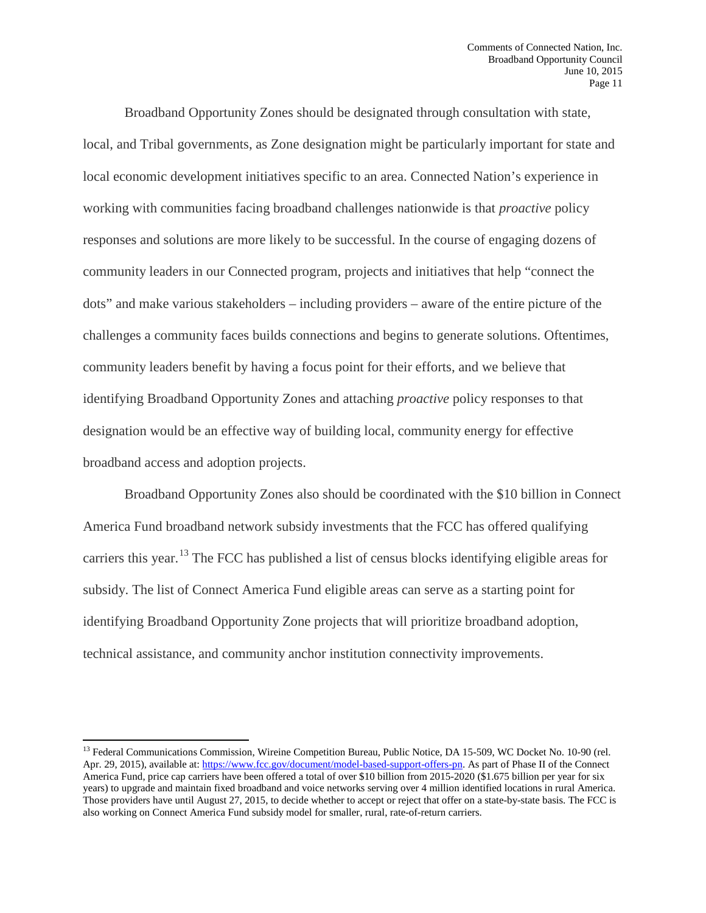Broadband Opportunity Zones should be designated through consultation with state, local, and Tribal governments, as Zone designation might be particularly important for state and local economic development initiatives specific to an area. Connected Nation's experience in working with communities facing broadband challenges nationwide is that *proactive* policy responses and solutions are more likely to be successful. In the course of engaging dozens of community leaders in our Connected program, projects and initiatives that help "connect the dots" and make various stakeholders – including providers – aware of the entire picture of the challenges a community faces builds connections and begins to generate solutions. Oftentimes, community leaders benefit by having a focus point for their efforts, and we believe that identifying Broadband Opportunity Zones and attaching *proactive* policy responses to that designation would be an effective way of building local, community energy for effective broadband access and adoption projects.

Broadband Opportunity Zones also should be coordinated with the \$10 billion in Connect America Fund broadband network subsidy investments that the FCC has offered qualifying carriers this year.[13](#page-11-0) The FCC has published a list of census blocks identifying eligible areas for subsidy. The list of Connect America Fund eligible areas can serve as a starting point for identifying Broadband Opportunity Zone projects that will prioritize broadband adoption, technical assistance, and community anchor institution connectivity improvements.

<span id="page-11-0"></span><sup>&</sup>lt;sup>13</sup> Federal Communications Commission, Wireine Competition Bureau, Public Notice, DA 15-509, WC Docket No. 10-90 (rel. Apr. 29, 2015), available at[: https://www.fcc.gov/document/model-based-support-offers-pn.](https://www.fcc.gov/document/model-based-support-offers-pn) As part of Phase II of the Connect America Fund, price cap carriers have been offered a total of over \$10 billion from 2015-2020 (\$1.675 billion per year for six years) to upgrade and maintain fixed broadband and voice networks serving over 4 million identified locations in rural America. Those providers have until August 27, 2015, to decide whether to accept or reject that offer on a state-by-state basis. The FCC is also working on Connect America Fund subsidy model for smaller, rural, rate-of-return carriers.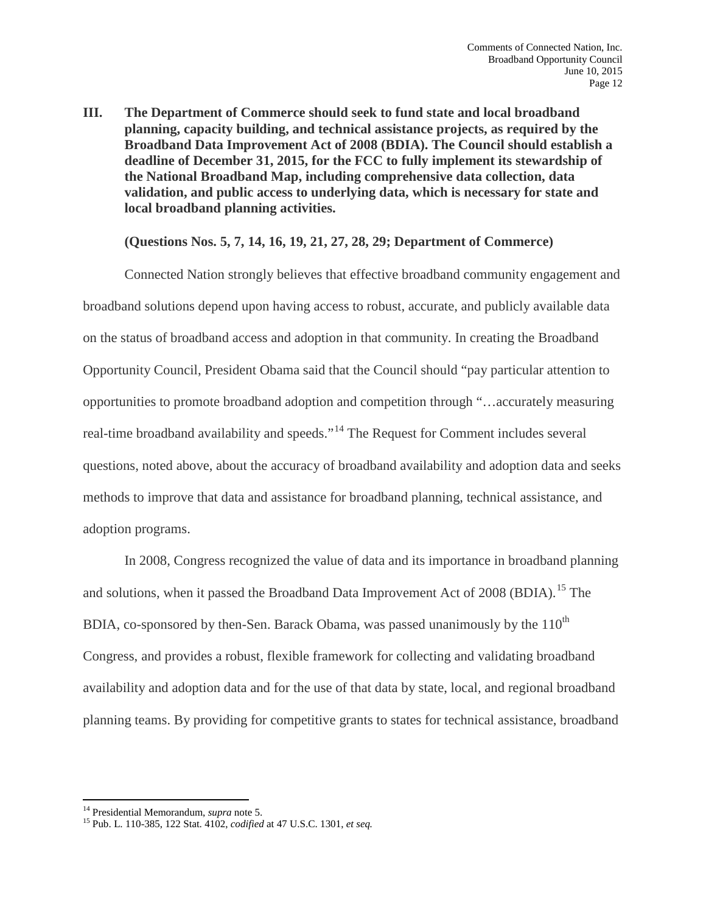**III. The Department of Commerce should seek to fund state and local broadband planning, capacity building, and technical assistance projects, as required by the Broadband Data Improvement Act of 2008 (BDIA). The Council should establish a deadline of December 31, 2015, for the FCC to fully implement its stewardship of the National Broadband Map, including comprehensive data collection, data validation, and public access to underlying data, which is necessary for state and local broadband planning activities.** 

### **(Questions Nos. 5, 7, 14, 16, 19, 21, 27, 28, 29; Department of Commerce)**

Connected Nation strongly believes that effective broadband community engagement and broadband solutions depend upon having access to robust, accurate, and publicly available data on the status of broadband access and adoption in that community. In creating the Broadband Opportunity Council, President Obama said that the Council should "pay particular attention to opportunities to promote broadband adoption and competition through "…accurately measuring real-time broadband availability and speeds."[14](#page-12-0) The Request for Comment includes several questions, noted above, about the accuracy of broadband availability and adoption data and seeks methods to improve that data and assistance for broadband planning, technical assistance, and adoption programs.

In 2008, Congress recognized the value of data and its importance in broadband planning and solutions, when it passed the Broadband Data Improvement Act of 2008 (BDIA).<sup>[15](#page-12-1)</sup> The BDIA, co-sponsored by then-Sen. Barack Obama, was passed unanimously by the  $110<sup>th</sup>$ Congress, and provides a robust, flexible framework for collecting and validating broadband availability and adoption data and for the use of that data by state, local, and regional broadband planning teams. By providing for competitive grants to states for technical assistance, broadband

<span id="page-12-0"></span><sup>&</sup>lt;sup>14</sup> Presidential Memorandum, *supra* note 5.

<span id="page-12-1"></span><sup>&</sup>lt;sup>15</sup> Pub. L. 110-385, 122 Stat. 4102, *codified* at 47 U.S.C. 1301, *et seq.*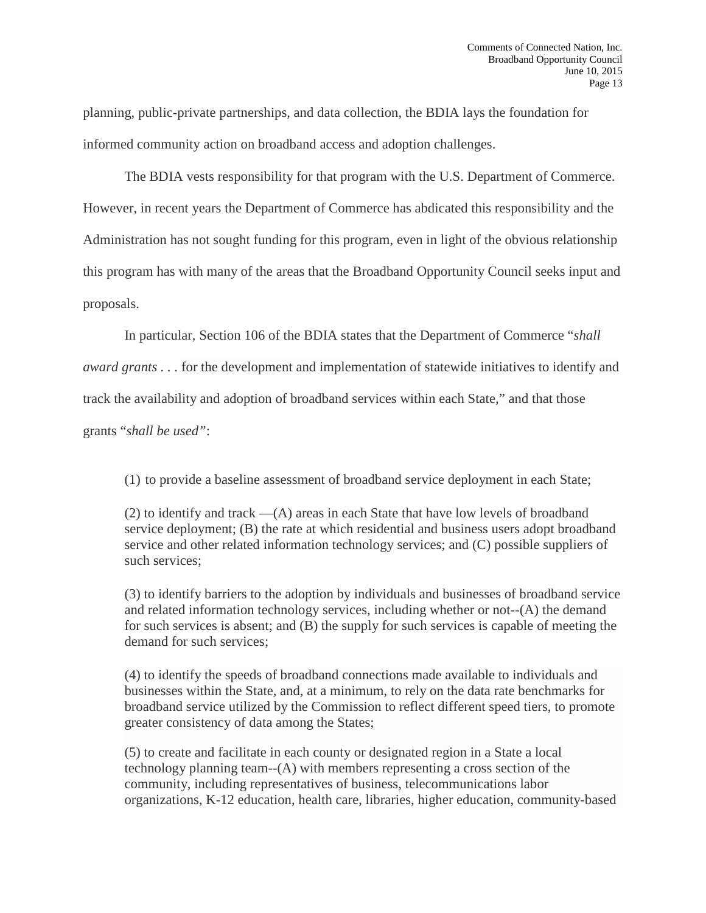planning, public-private partnerships, and data collection, the BDIA lays the foundation for informed community action on broadband access and adoption challenges.

The BDIA vests responsibility for that program with the U.S. Department of Commerce. However, in recent years the Department of Commerce has abdicated this responsibility and the Administration has not sought funding for this program, even in light of the obvious relationship this program has with many of the areas that the Broadband Opportunity Council seeks input and proposals.

In particular, Section 106 of the BDIA states that the Department of Commerce "*shall* 

*award grants . . .* for the development and implementation of statewide initiatives to identify and

track the availability and adoption of broadband services within each State," and that those

grants "*shall be used"*:

(1) to provide a baseline assessment of broadband service deployment in each State;

(2) to identify and track —(A) areas in each State that have low levels of broadband service deployment; (B) the rate at which residential and business users adopt broadband service and other related information technology services; and (C) possible suppliers of such services;

(3) to identify barriers to the adoption by individuals and businesses of broadband service and related information technology services, including whether or not--(A) the demand for such services is absent; and (B) the supply for such services is capable of meeting the demand for such services;

(4) to identify the speeds of broadband connections made available to individuals and businesses within the State, and, at a minimum, to rely on the data rate benchmarks for broadband service utilized by the Commission to reflect different speed tiers, to promote greater consistency of data among the States;

(5) to create and facilitate in each county or designated region in a State a local technology planning team--(A) with members representing a cross section of the community, including representatives of business, telecommunications labor organizations, K-12 education, health care, libraries, higher education, community-based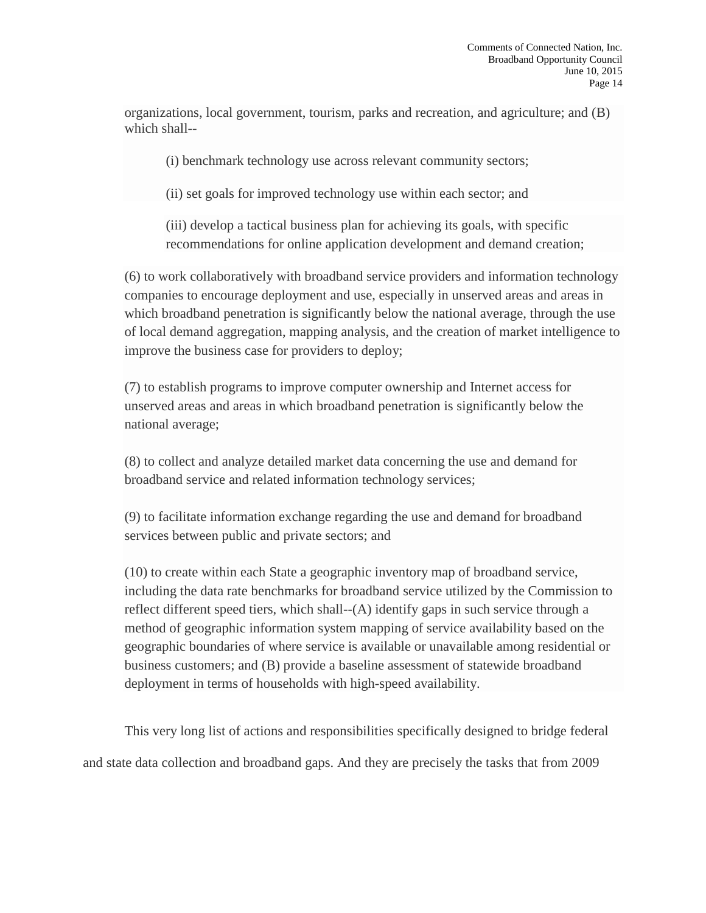organizations, local government, tourism, parks and recreation, and agriculture; and (B) which shall--

(i) benchmark technology use across relevant community sectors;

(ii) set goals for improved technology use within each sector; and

(iii) develop a tactical business plan for achieving its goals, with specific recommendations for online application development and demand creation;

(6) to work collaboratively with broadband service providers and information technology companies to encourage deployment and use, especially in unserved areas and areas in which broadband penetration is significantly below the national average, through the use of local demand aggregation, mapping analysis, and the creation of market intelligence to improve the business case for providers to deploy;

(7) to establish programs to improve computer ownership and Internet access for unserved areas and areas in which broadband penetration is significantly below the national average;

(8) to collect and analyze detailed market data concerning the use and demand for broadband service and related information technology services;

(9) to facilitate information exchange regarding the use and demand for broadband services between public and private sectors; and

(10) to create within each State a geographic inventory map of broadband service, including the data rate benchmarks for broadband service utilized by the Commission to reflect different speed tiers, which shall- $-(A)$  identify gaps in such service through a method of geographic information system mapping of service availability based on the geographic boundaries of where service is available or unavailable among residential or business customers; and (B) provide a baseline assessment of statewide broadband deployment in terms of households with high-speed availability.

This very long list of actions and responsibilities specifically designed to bridge federal and state data collection and broadband gaps. And they are precisely the tasks that from 2009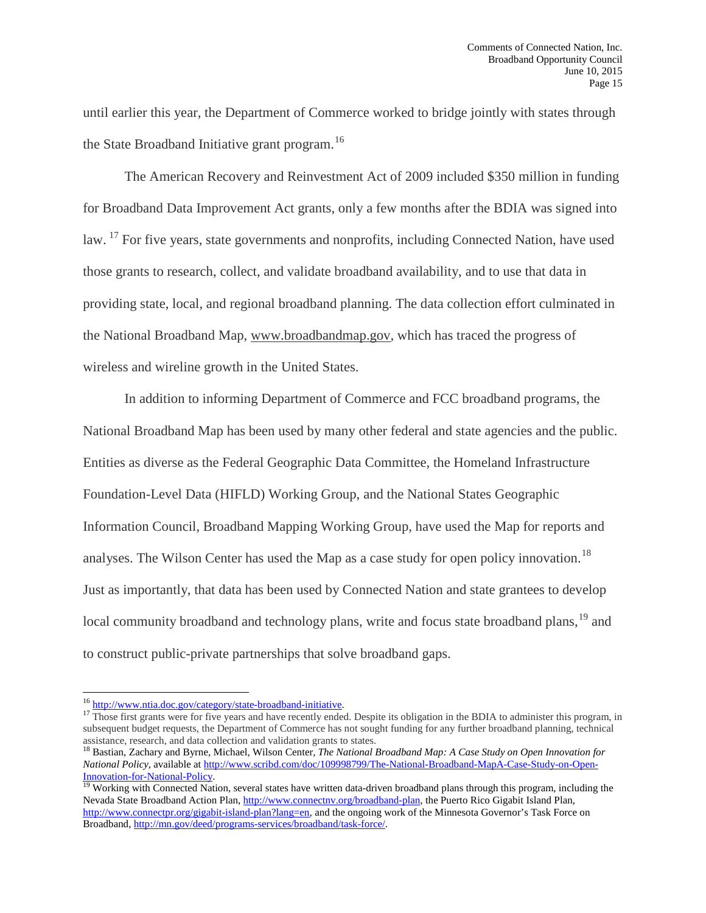until earlier this year, the Department of Commerce worked to bridge jointly with states through the State Broadband Initiative grant program.<sup>[16](#page-15-0)</sup>

The American Recovery and Reinvestment Act of 2009 included \$350 million in funding for Broadband Data Improvement Act grants, only a few months after the BDIA was signed into law. <sup>[17](#page-15-1)</sup> For five years, state governments and nonprofits, including Connected Nation, have used those grants to research, collect, and validate broadband availability, and to use that data in providing state, local, and regional broadband planning. The data collection effort culminated in the National Broadband Map, [www.broadbandmap.gov,](http://www.broadbandmap.gov/) which has traced the progress of wireless and wireline growth in the United States.

In addition to informing Department of Commerce and FCC broadband programs, the National Broadband Map has been used by many other federal and state agencies and the public. Entities as diverse as the Federal Geographic Data Committee, the Homeland Infrastructure Foundation-Level Data (HIFLD) Working Group, and the National States Geographic Information Council, Broadband Mapping Working Group, have used the Map for reports and analyses. The Wilson Center has used the Map as a case study for open policy innovation.<sup>[18](#page-15-2)</sup> Just as importantly, that data has been used by Connected Nation and state grantees to develop local community broadband and technology plans, write and focus state broadband plans,<sup>[19](#page-15-3)</sup> and to construct public-private partnerships that solve broadband gaps.

<sup>&</sup>lt;sup>16</sup> http://www.ntia.doc.gov/category/state-broadband-initiative.

<span id="page-15-1"></span><span id="page-15-0"></span><sup>&</sup>lt;sup>17</sup> Those first grants were for five years and have recently ended. Despite its obligation in the BDIA to administer this program, in subsequent budget requests, the Department of Commerce has not sought funding for any further broadband planning, technical assistance, research, and data collection and validation grants to states.

<span id="page-15-2"></span><sup>18</sup> Bastian, Zachary and Byrne, Michael, Wilson Center, *The National Broadband Map: A Case Study on Open Innovation for National Policy*, available at <u>http://www.scribd.com/doc/109998799/The-National-Broadband-MapA-Case-Study-on-Open-<br>Innovation-for-National-Policy<br><sup>19</sup> Westling with G</u>

<span id="page-15-3"></span>Working with Connected Nation, several states have written data-driven broadband plans through this program, including the Nevada State Broadband Action Plan, [http://www.connectnv.org/broadband-plan,](http://www.connectnv.org/broadband-plan) the Puerto Rico Gigabit Island Plan, [http://www.connectpr.org/gigabit-island-plan?lang=en,](http://www.connectpr.org/gigabit-island-plan?lang=en) and the ongoing work of the Minnesota Governor's Task Force on Broadband, [http://mn.gov/deed/programs-services/broadband/task-force/.](http://mn.gov/deed/programs-services/broadband/task-force/)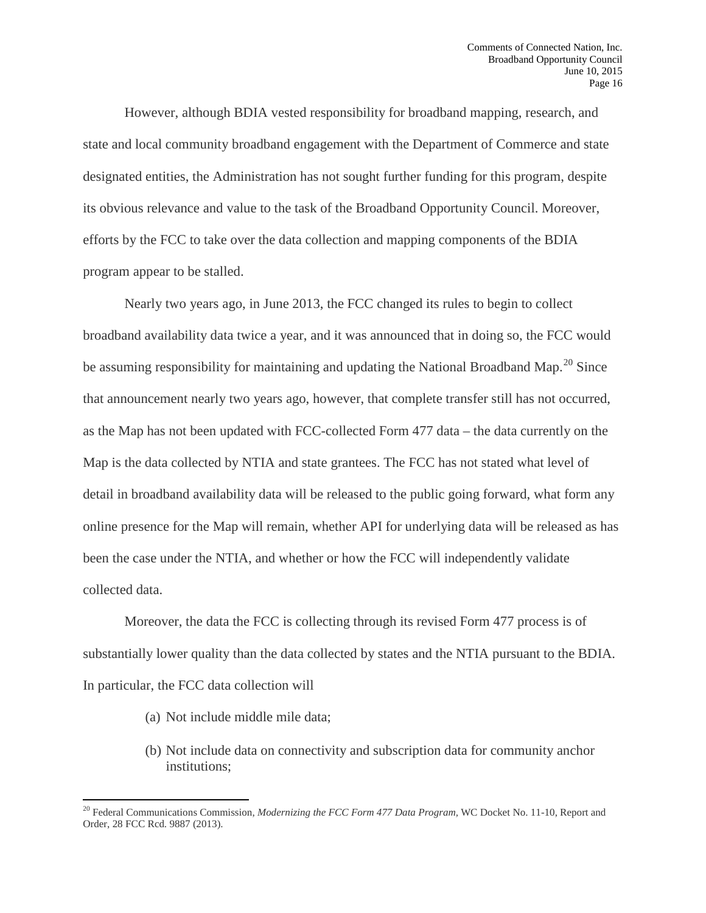However, although BDIA vested responsibility for broadband mapping, research, and state and local community broadband engagement with the Department of Commerce and state designated entities, the Administration has not sought further funding for this program, despite its obvious relevance and value to the task of the Broadband Opportunity Council. Moreover, efforts by the FCC to take over the data collection and mapping components of the BDIA program appear to be stalled.

Nearly two years ago, in June 2013, the FCC changed its rules to begin to collect broadband availability data twice a year, and it was announced that in doing so, the FCC would be assuming responsibility for maintaining and updating the National Broadband Map.<sup>[20](#page-16-0)</sup> Since that announcement nearly two years ago, however, that complete transfer still has not occurred, as the Map has not been updated with FCC-collected Form 477 data – the data currently on the Map is the data collected by NTIA and state grantees. The FCC has not stated what level of detail in broadband availability data will be released to the public going forward, what form any online presence for the Map will remain, whether API for underlying data will be released as has been the case under the NTIA, and whether or how the FCC will independently validate collected data.

Moreover, the data the FCC is collecting through its revised Form 477 process is of substantially lower quality than the data collected by states and the NTIA pursuant to the BDIA. In particular, the FCC data collection will

(a) Not include middle mile data;

 $\overline{\phantom{a}}$ 

(b) Not include data on connectivity and subscription data for community anchor institutions;

<span id="page-16-0"></span><sup>20</sup> Federal Communications Commission, *Modernizing the FCC Form 477 Data Program,* WC Docket No. 11-10, Report and Order, 28 FCC Rcd. 9887 (2013).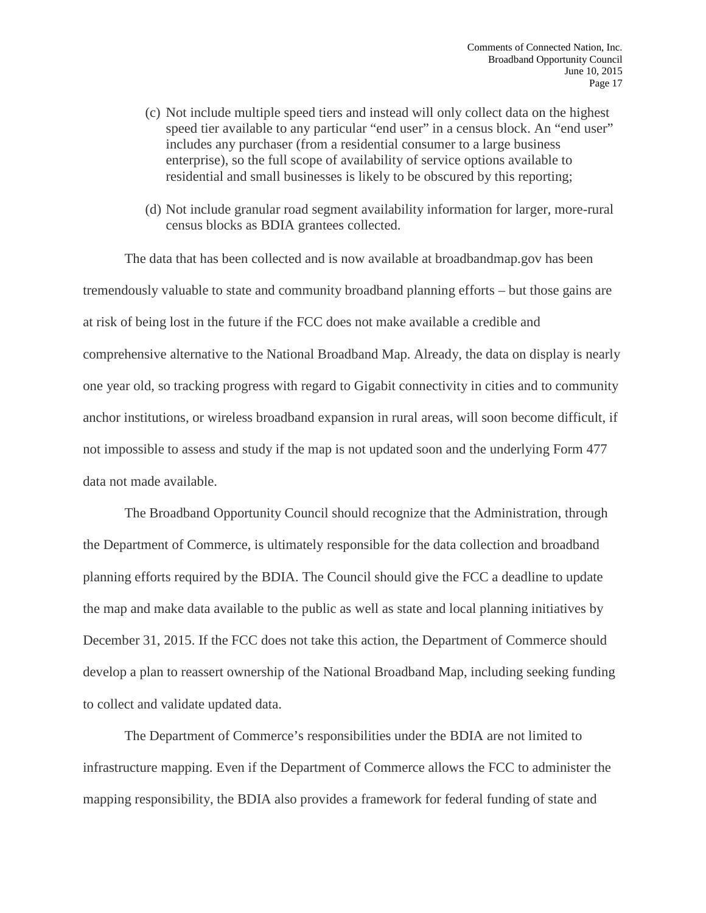- (c) Not include multiple speed tiers and instead will only collect data on the highest speed tier available to any particular "end user" in a census block. An "end user" includes any purchaser (from a residential consumer to a large business enterprise), so the full scope of availability of service options available to residential and small businesses is likely to be obscured by this reporting;
- (d) Not include granular road segment availability information for larger, more-rural census blocks as BDIA grantees collected.

The data that has been collected and is now available at broadbandmap.gov has been tremendously valuable to state and community broadband planning efforts – but those gains are at risk of being lost in the future if the FCC does not make available a credible and comprehensive alternative to the National Broadband Map. Already, the data on display is nearly one year old, so tracking progress with regard to Gigabit connectivity in cities and to community anchor institutions, or wireless broadband expansion in rural areas, will soon become difficult, if not impossible to assess and study if the map is not updated soon and the underlying Form 477 data not made available.

The Broadband Opportunity Council should recognize that the Administration, through the Department of Commerce, is ultimately responsible for the data collection and broadband planning efforts required by the BDIA. The Council should give the FCC a deadline to update the map and make data available to the public as well as state and local planning initiatives by December 31, 2015. If the FCC does not take this action, the Department of Commerce should develop a plan to reassert ownership of the National Broadband Map, including seeking funding to collect and validate updated data.

The Department of Commerce's responsibilities under the BDIA are not limited to infrastructure mapping. Even if the Department of Commerce allows the FCC to administer the mapping responsibility, the BDIA also provides a framework for federal funding of state and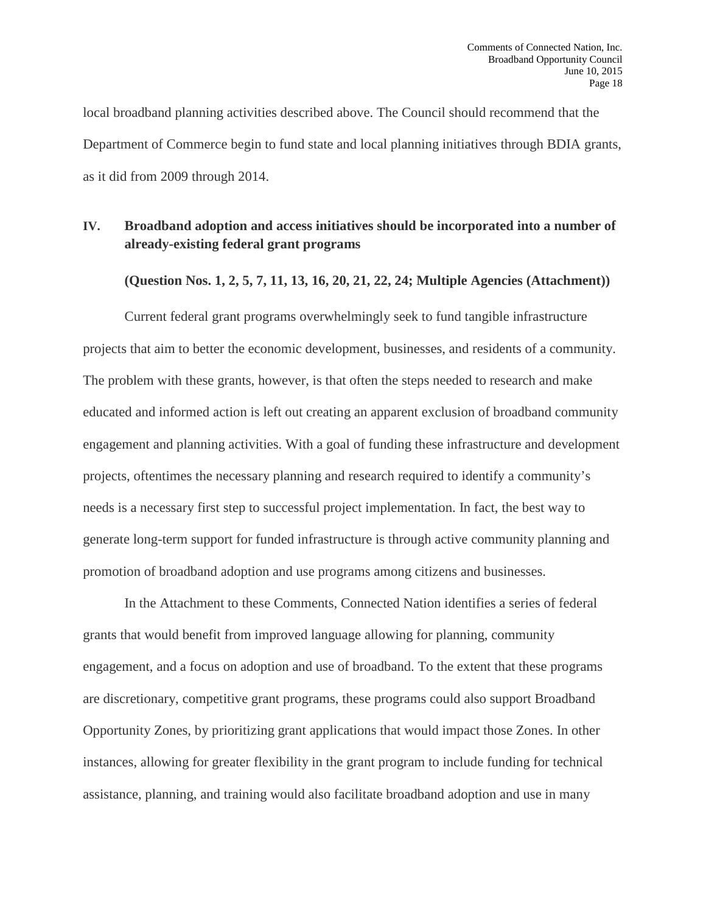local broadband planning activities described above. The Council should recommend that the Department of Commerce begin to fund state and local planning initiatives through BDIA grants, as it did from 2009 through 2014.

## **IV. Broadband adoption and access initiatives should be incorporated into a number of already-existing federal grant programs**

**(Question Nos. 1, 2, 5, 7, 11, 13, 16, 20, 21, 22, 24; Multiple Agencies (Attachment))**

Current federal grant programs overwhelmingly seek to fund tangible infrastructure projects that aim to better the economic development, businesses, and residents of a community. The problem with these grants, however, is that often the steps needed to research and make educated and informed action is left out creating an apparent exclusion of broadband community engagement and planning activities. With a goal of funding these infrastructure and development projects, oftentimes the necessary planning and research required to identify a community's needs is a necessary first step to successful project implementation. In fact, the best way to generate long-term support for funded infrastructure is through active community planning and promotion of broadband adoption and use programs among citizens and businesses.

In the Attachment to these Comments, Connected Nation identifies a series of federal grants that would benefit from improved language allowing for planning, community engagement, and a focus on adoption and use of broadband. To the extent that these programs are discretionary, competitive grant programs, these programs could also support Broadband Opportunity Zones, by prioritizing grant applications that would impact those Zones. In other instances, allowing for greater flexibility in the grant program to include funding for technical assistance, planning, and training would also facilitate broadband adoption and use in many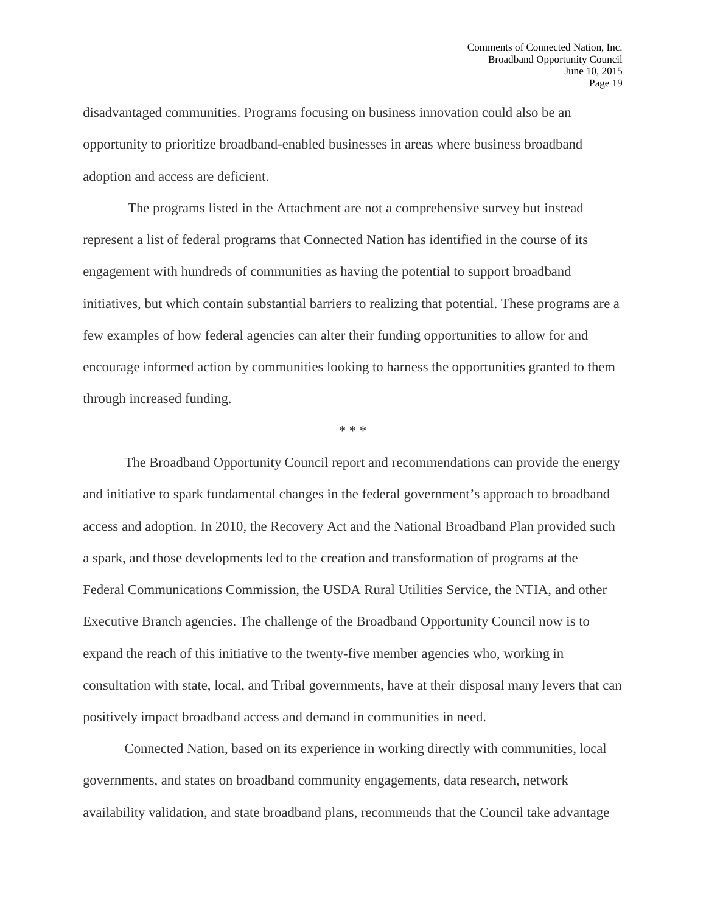disadvantaged communities. Programs focusing on business innovation could also be an opportunity to prioritize broadband-enabled businesses in areas where business broadband adoption and access are deficient.

The programs listed in the Attachment are not a comprehensive survey but instead represent a list of federal programs that Connected Nation has identified in the course of its engagement with hundreds of communities as having the potential to support broadband initiatives, but which contain substantial barriers to realizing that potential. These programs are a few examples of how federal agencies can alter their funding opportunities to allow for and encourage informed action by communities looking to harness the opportunities granted to them through increased funding.

\* \* \*

The Broadband Opportunity Council report and recommendations can provide the energy and initiative to spark fundamental changes in the federal government's approach to broadband access and adoption. In 2010, the Recovery Act and the National Broadband Plan provided such a spark, and those developments led to the creation and transformation of programs at the Federal Communications Commission, the USDA Rural Utilities Service, the NTIA, and other Executive Branch agencies. The challenge of the Broadband Opportunity Council now is to expand the reach of this initiative to the twenty-five member agencies who, working in consultation with state, local, and Tribal governments, have at their disposal many levers that can positively impact broadband access and demand in communities in need.

Connected Nation, based on its experience in working directly with communities, local governments, and states on broadband community engagements, data research, network availability validation, and state broadband plans, recommends that the Council take advantage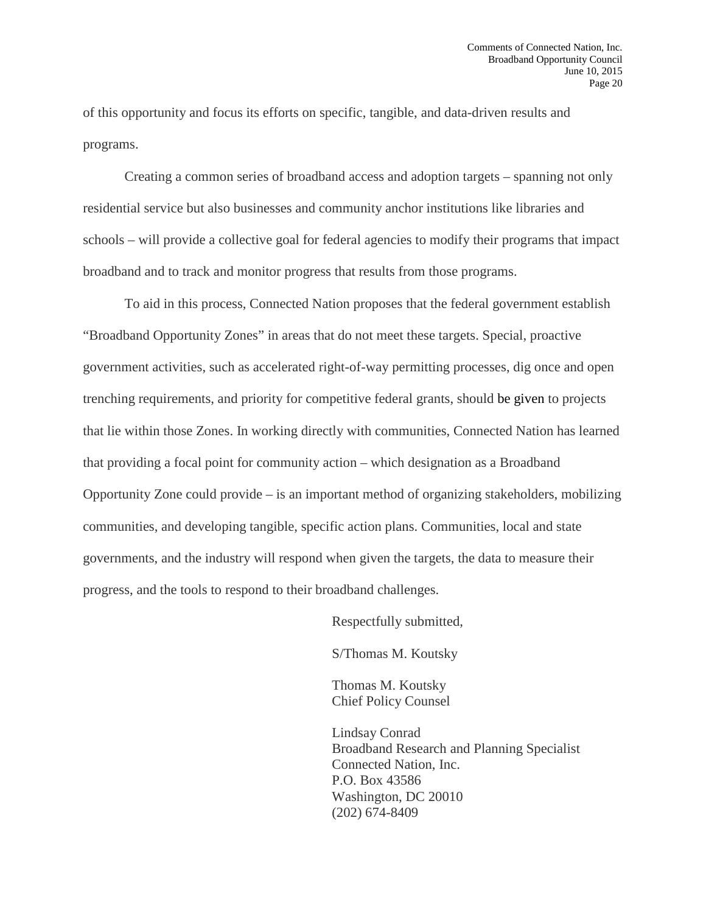of this opportunity and focus its efforts on specific, tangible, and data-driven results and programs.

Creating a common series of broadband access and adoption targets – spanning not only residential service but also businesses and community anchor institutions like libraries and schools – will provide a collective goal for federal agencies to modify their programs that impact broadband and to track and monitor progress that results from those programs.

To aid in this process, Connected Nation proposes that the federal government establish "Broadband Opportunity Zones" in areas that do not meet these targets. Special, proactive government activities, such as accelerated right-of-way permitting processes, dig once and open trenching requirements, and priority for competitive federal grants, should be given to projects that lie within those Zones. In working directly with communities, Connected Nation has learned that providing a focal point for community action – which designation as a Broadband Opportunity Zone could provide – is an important method of organizing stakeholders, mobilizing communities, and developing tangible, specific action plans. Communities, local and state governments, and the industry will respond when given the targets, the data to measure their progress, and the tools to respond to their broadband challenges.

Respectfully submitted,

S/Thomas M. Koutsky

Thomas M. Koutsky Chief Policy Counsel

Lindsay Conrad Broadband Research and Planning Specialist Connected Nation, Inc. P.O. Box 43586 Washington, DC 20010 (202) 674-8409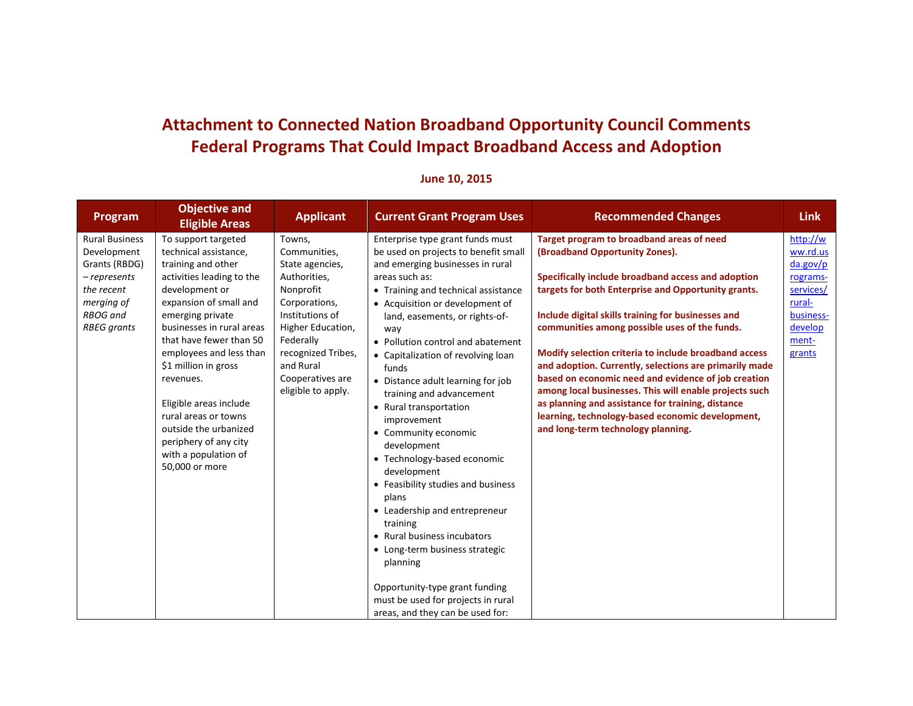# **Attachment to Connected Nation Broadband Opportunity Council Comments Federal Programs That Could Impact Broadband Access and Adoption**

| Program                                                                                                                                   | <b>Objective and</b><br><b>Eligible Areas</b>                                                                                                                                                                                                                                                                                                                                                                                         | <b>Applicant</b>                                                                                                                                                                                                          | <b>Current Grant Program Uses</b>                                                                                                                                                                                                                                                                                                                                                                                                                                                                                                                                                                                                                                                                                                                                                                                         | <b>Recommended Changes</b>                                                                                                                                                                                                                                                                                                                                                                                                                                                                                                                                                                                                                                                         | <b>Link</b>                                                                                                    |
|-------------------------------------------------------------------------------------------------------------------------------------------|---------------------------------------------------------------------------------------------------------------------------------------------------------------------------------------------------------------------------------------------------------------------------------------------------------------------------------------------------------------------------------------------------------------------------------------|---------------------------------------------------------------------------------------------------------------------------------------------------------------------------------------------------------------------------|---------------------------------------------------------------------------------------------------------------------------------------------------------------------------------------------------------------------------------------------------------------------------------------------------------------------------------------------------------------------------------------------------------------------------------------------------------------------------------------------------------------------------------------------------------------------------------------------------------------------------------------------------------------------------------------------------------------------------------------------------------------------------------------------------------------------------|------------------------------------------------------------------------------------------------------------------------------------------------------------------------------------------------------------------------------------------------------------------------------------------------------------------------------------------------------------------------------------------------------------------------------------------------------------------------------------------------------------------------------------------------------------------------------------------------------------------------------------------------------------------------------------|----------------------------------------------------------------------------------------------------------------|
| <b>Rural Business</b><br>Development<br>Grants (RBDG)<br>-represents<br>the recent<br>merging of<br><b>RBOG</b> and<br><b>RBEG</b> grants | To support targeted<br>technical assistance,<br>training and other<br>activities leading to the<br>development or<br>expansion of small and<br>emerging private<br>businesses in rural areas<br>that have fewer than 50<br>employees and less than<br>\$1 million in gross<br>revenues.<br>Eligible areas include<br>rural areas or towns<br>outside the urbanized<br>periphery of any city<br>with a population of<br>50,000 or more | Towns,<br>Communities,<br>State agencies,<br>Authorities,<br>Nonprofit<br>Corporations,<br>Institutions of<br>Higher Education,<br>Federally<br>recognized Tribes,<br>and Rural<br>Cooperatives are<br>eligible to apply. | Enterprise type grant funds must<br>be used on projects to benefit small<br>and emerging businesses in rural<br>areas such as:<br>• Training and technical assistance<br>• Acquisition or development of<br>land, easements, or rights-of-<br>way<br>• Pollution control and abatement<br>• Capitalization of revolving loan<br>funds<br>• Distance adult learning for job<br>training and advancement<br>• Rural transportation<br>improvement<br>• Community economic<br>development<br>• Technology-based economic<br>development<br>• Feasibility studies and business<br>plans<br>• Leadership and entrepreneur<br>training<br>• Rural business incubators<br>• Long-term business strategic<br>planning<br>Opportunity-type grant funding<br>must be used for projects in rural<br>areas, and they can be used for: | Target program to broadband areas of need<br>(Broadband Opportunity Zones).<br>Specifically include broadband access and adoption<br>targets for both Enterprise and Opportunity grants.<br>Include digital skills training for businesses and<br>communities among possible uses of the funds.<br>Modify selection criteria to include broadband access<br>and adoption. Currently, selections are primarily made<br>based on economic need and evidence of job creation<br>among local businesses. This will enable projects such<br>as planning and assistance for training, distance<br>learning, technology-based economic development,<br>and long-term technology planning. | http://w<br>ww.rd.us<br>da.gov/p<br>rograms-<br>services/<br>rural-<br>business-<br>develop<br>ment-<br>grants |

## **June 10, 2015**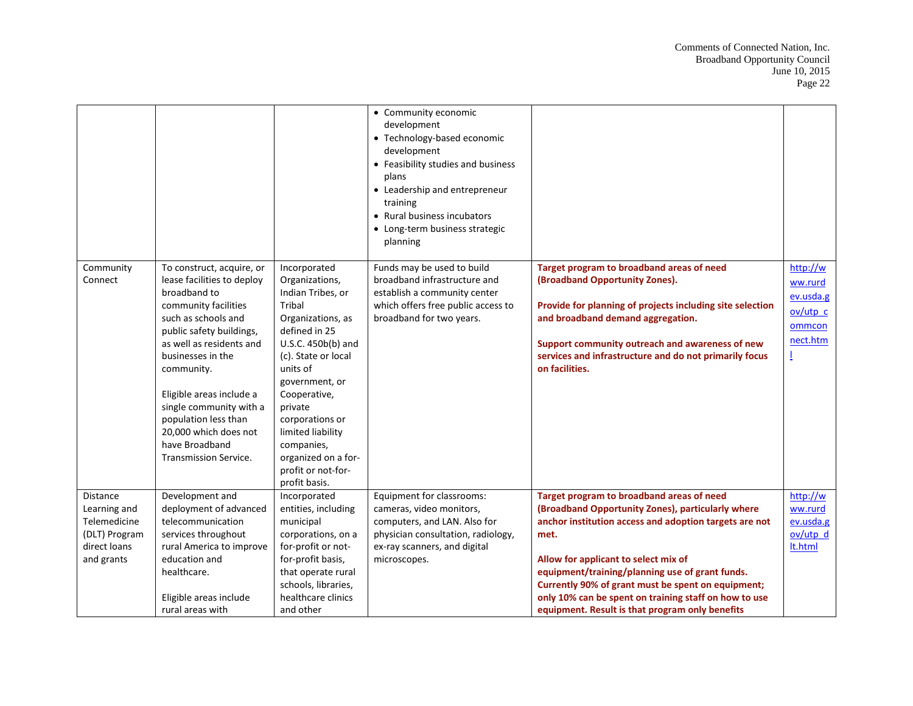|                                                                                         |                                                                                                                                                                                                                                                                                                                                                                             |                                                                                                                                                                                                                                                                                                                               | • Community economic<br>development<br>• Technology-based economic<br>development<br>• Feasibility studies and business<br>plans<br>• Leadership and entrepreneur<br>training<br>• Rural business incubators<br>• Long-term business strategic<br>planning |                                                                                                                                                                                                                                                                                                                                                                                                                               |                                                                       |
|-----------------------------------------------------------------------------------------|-----------------------------------------------------------------------------------------------------------------------------------------------------------------------------------------------------------------------------------------------------------------------------------------------------------------------------------------------------------------------------|-------------------------------------------------------------------------------------------------------------------------------------------------------------------------------------------------------------------------------------------------------------------------------------------------------------------------------|------------------------------------------------------------------------------------------------------------------------------------------------------------------------------------------------------------------------------------------------------------|-------------------------------------------------------------------------------------------------------------------------------------------------------------------------------------------------------------------------------------------------------------------------------------------------------------------------------------------------------------------------------------------------------------------------------|-----------------------------------------------------------------------|
| Community<br>Connect                                                                    | To construct, acquire, or<br>lease facilities to deploy<br>broadband to<br>community facilities<br>such as schools and<br>public safety buildings,<br>as well as residents and<br>businesses in the<br>community.<br>Eligible areas include a<br>single community with a<br>population less than<br>20,000 which does not<br>have Broadband<br><b>Transmission Service.</b> | Incorporated<br>Organizations,<br>Indian Tribes, or<br>Tribal<br>Organizations, as<br>defined in 25<br>U.S.C. 450b(b) and<br>(c). State or local<br>units of<br>government, or<br>Cooperative,<br>private<br>corporations or<br>limited liability<br>companies,<br>organized on a for-<br>profit or not-for-<br>profit basis. | Funds may be used to build<br>broadband infrastructure and<br>establish a community center<br>which offers free public access to<br>broadband for two years.                                                                                               | Target program to broadband areas of need<br>(Broadband Opportunity Zones).<br>Provide for planning of projects including site selection<br>and broadband demand aggregation.<br>Support community outreach and awareness of new<br>services and infrastructure and do not primarily focus<br>on facilities.                                                                                                                  | http://w<br>ww.rurd<br>ev.usda.g<br>$ov/$ utp c<br>ommcon<br>nect.htm |
| Distance<br>Learning and<br>Telemedicine<br>(DLT) Program<br>direct loans<br>and grants | Development and<br>deployment of advanced<br>telecommunication<br>services throughout<br>rural America to improve<br>education and<br>healthcare.<br>Eligible areas include<br>rural areas with                                                                                                                                                                             | Incorporated<br>entities, including<br>municipal<br>corporations, on a<br>for-profit or not-<br>for-profit basis,<br>that operate rural<br>schools, libraries,<br>healthcare clinics<br>and other                                                                                                                             | Equipment for classrooms:<br>cameras, video monitors,<br>computers, and LAN. Also for<br>physician consultation, radiology,<br>ex-ray scanners, and digital<br>microscopes.                                                                                | Target program to broadband areas of need<br>(Broadband Opportunity Zones), particularly where<br>anchor institution access and adoption targets are not<br>met.<br>Allow for applicant to select mix of<br>equipment/training/planning use of grant funds.<br>Currently 90% of grant must be spent on equipment;<br>only 10% can be spent on training staff on how to use<br>equipment. Result is that program only benefits | http://w<br>ww.rurd<br>ev.usda.g<br>ov/utp d<br>lt.html               |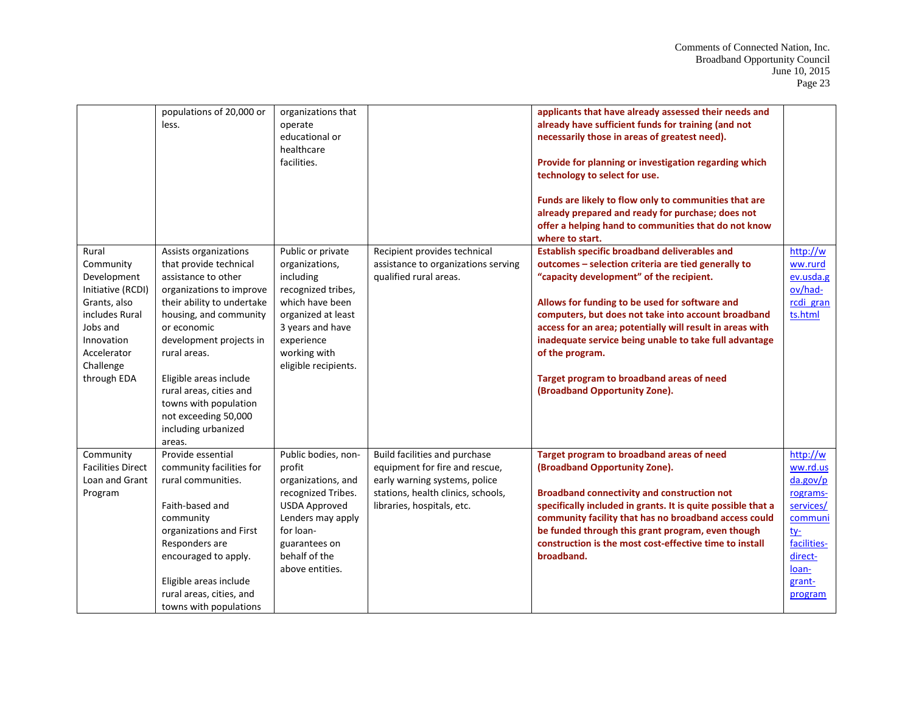|                                                                                                                                                               | populations of 20,000 or<br>less.                                                                                                                                                                                                                                                                                                                           | organizations that<br>operate<br>educational or<br>healthcare<br>facilities.                                                                                                              |                                                                                                                                                                      | applicants that have already assessed their needs and<br>already have sufficient funds for training (and not<br>necessarily those in areas of greatest need).<br>Provide for planning or investigation regarding which<br>technology to select for use.<br>Funds are likely to flow only to communities that are<br>already prepared and ready for purchase; does not<br>offer a helping hand to communities that do not know<br>where to start.                                         |                                                                                                                                     |
|---------------------------------------------------------------------------------------------------------------------------------------------------------------|-------------------------------------------------------------------------------------------------------------------------------------------------------------------------------------------------------------------------------------------------------------------------------------------------------------------------------------------------------------|-------------------------------------------------------------------------------------------------------------------------------------------------------------------------------------------|----------------------------------------------------------------------------------------------------------------------------------------------------------------------|------------------------------------------------------------------------------------------------------------------------------------------------------------------------------------------------------------------------------------------------------------------------------------------------------------------------------------------------------------------------------------------------------------------------------------------------------------------------------------------|-------------------------------------------------------------------------------------------------------------------------------------|
| Rural<br>Community<br>Development<br>Initiative (RCDI)<br>Grants, also<br>includes Rural<br>Jobs and<br>Innovation<br>Accelerator<br>Challenge<br>through EDA | Assists organizations<br>that provide technical<br>assistance to other<br>organizations to improve<br>their ability to undertake<br>housing, and community<br>or economic<br>development projects in<br>rural areas.<br>Eligible areas include<br>rural areas, cities and<br>towns with population<br>not exceeding 50,000<br>including urbanized<br>areas. | Public or private<br>organizations,<br>including<br>recognized tribes,<br>which have been<br>organized at least<br>3 years and have<br>experience<br>working with<br>eligible recipients. | Recipient provides technical<br>assistance to organizations serving<br>qualified rural areas.                                                                        | <b>Establish specific broadband deliverables and</b><br>outcomes - selection criteria are tied generally to<br>"capacity development" of the recipient.<br>Allows for funding to be used for software and<br>computers, but does not take into account broadband<br>access for an area; potentially will result in areas with<br>inadequate service being unable to take full advantage<br>of the program.<br>Target program to broadband areas of need<br>(Broadband Opportunity Zone). | http://w<br>ww.rurd<br>ev.usda.g<br>ov/had-<br>rcdi gran<br>ts.html                                                                 |
| Community<br><b>Facilities Direct</b><br>Loan and Grant<br>Program                                                                                            | Provide essential<br>community facilities for<br>rural communities.<br>Faith-based and<br>community<br>organizations and First<br>Responders are<br>encouraged to apply.<br>Eligible areas include<br>rural areas, cities, and<br>towns with populations                                                                                                    | Public bodies, non-<br>profit<br>organizations, and<br>recognized Tribes.<br><b>USDA Approved</b><br>Lenders may apply<br>for loan-<br>guarantees on<br>behalf of the<br>above entities.  | Build facilities and purchase<br>equipment for fire and rescue,<br>early warning systems, police<br>stations, health clinics, schools,<br>libraries, hospitals, etc. | Target program to broadband areas of need<br>(Broadband Opportunity Zone).<br><b>Broadband connectivity and construction not</b><br>specifically included in grants. It is quite possible that a<br>community facility that has no broadband access could<br>be funded through this grant program, even though<br>construction is the most cost-effective time to install<br>broadband.                                                                                                  | http://w<br>ww.rd.us<br>da.gov/p<br>rograms-<br>services/<br>communi<br>$t$<br>facilities-<br>direct-<br>loan-<br>grant-<br>program |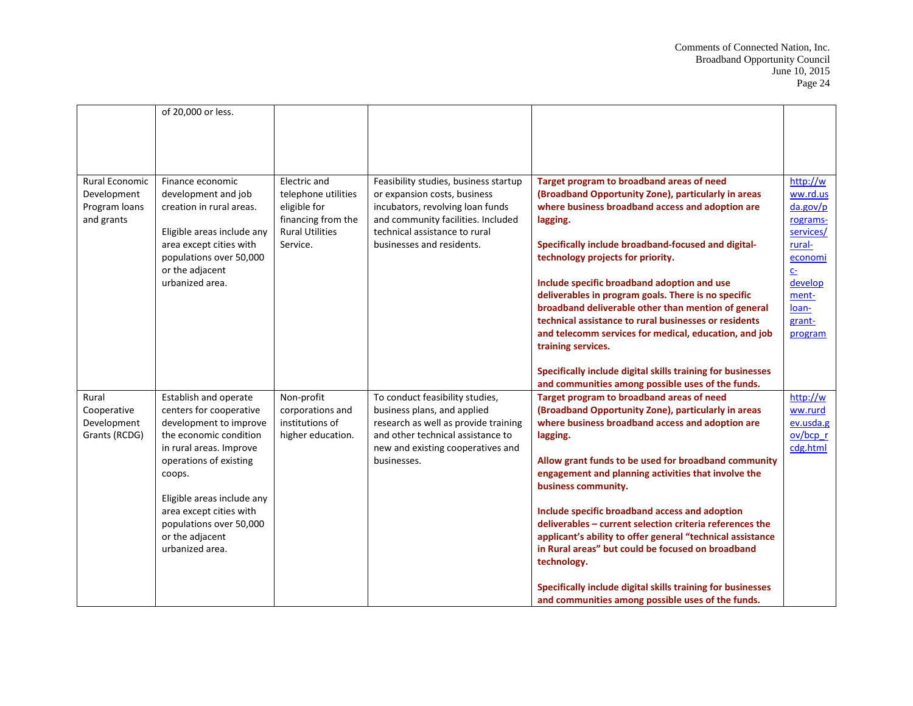|                       | of 20,000 or less.         |                        |                                       |                                                             |                |
|-----------------------|----------------------------|------------------------|---------------------------------------|-------------------------------------------------------------|----------------|
|                       |                            |                        |                                       |                                                             |                |
|                       |                            |                        |                                       |                                                             |                |
|                       |                            |                        |                                       |                                                             |                |
|                       |                            |                        |                                       |                                                             |                |
| <b>Rural Economic</b> | Finance economic           | Electric and           | Feasibility studies, business startup | Target program to broadband areas of need                   | http://w       |
| Development           | development and job        | telephone utilities    | or expansion costs, business          | (Broadband Opportunity Zone), particularly in areas         | ww.rd.us       |
| Program loans         | creation in rural areas.   | eligible for           | incubators, revolving loan funds      | where business broadband access and adoption are            | da.gov/p       |
| and grants            |                            | financing from the     | and community facilities. Included    | lagging.                                                    | rograms-       |
|                       | Eligible areas include any | <b>Rural Utilities</b> | technical assistance to rural         |                                                             | services/      |
|                       | area except cities with    | Service.               | businesses and residents.             | Specifically include broadband-focused and digital-         | rural-         |
|                       | populations over 50,000    |                        |                                       | technology projects for priority.                           | economi        |
|                       | or the adjacent            |                        |                                       |                                                             | C <sub>2</sub> |
|                       | urbanized area.            |                        |                                       | Include specific broadband adoption and use                 | develop        |
|                       |                            |                        |                                       | deliverables in program goals. There is no specific         | ment-          |
|                       |                            |                        |                                       | broadband deliverable other than mention of general         | loan-          |
|                       |                            |                        |                                       | technical assistance to rural businesses or residents       | grant-         |
|                       |                            |                        |                                       | and telecomm services for medical, education, and job       | program        |
|                       |                            |                        |                                       | training services.                                          |                |
|                       |                            |                        |                                       | Specifically include digital skills training for businesses |                |
|                       |                            |                        |                                       | and communities among possible uses of the funds.           |                |
| Rural                 | Establish and operate      | Non-profit             | To conduct feasibility studies,       | Target program to broadband areas of need                   | http://w       |
| Cooperative           | centers for cooperative    | corporations and       | business plans, and applied           | (Broadband Opportunity Zone), particularly in areas         | ww.rurd        |
| Development           | development to improve     | institutions of        | research as well as provide training  | where business broadband access and adoption are            | ev.usda.g      |
| Grants (RCDG)         | the economic condition     | higher education.      | and other technical assistance to     | lagging.                                                    | $ov/bcp$ r     |
|                       | in rural areas. Improve    |                        | new and existing cooperatives and     |                                                             | cdg.html       |
|                       | operations of existing     |                        | businesses.                           | Allow grant funds to be used for broadband community        |                |
|                       | coops.                     |                        |                                       | engagement and planning activities that involve the         |                |
|                       |                            |                        |                                       | business community.                                         |                |
|                       | Eligible areas include any |                        |                                       |                                                             |                |
|                       | area except cities with    |                        |                                       | Include specific broadband access and adoption              |                |
|                       | populations over 50,000    |                        |                                       | deliverables - current selection criteria references the    |                |
|                       | or the adjacent            |                        |                                       | applicant's ability to offer general "technical assistance  |                |
|                       | urbanized area.            |                        |                                       | in Rural areas" but could be focused on broadband           |                |
|                       |                            |                        |                                       | technology.                                                 |                |
|                       |                            |                        |                                       | Specifically include digital skills training for businesses |                |
|                       |                            |                        |                                       | and communities among possible uses of the funds.           |                |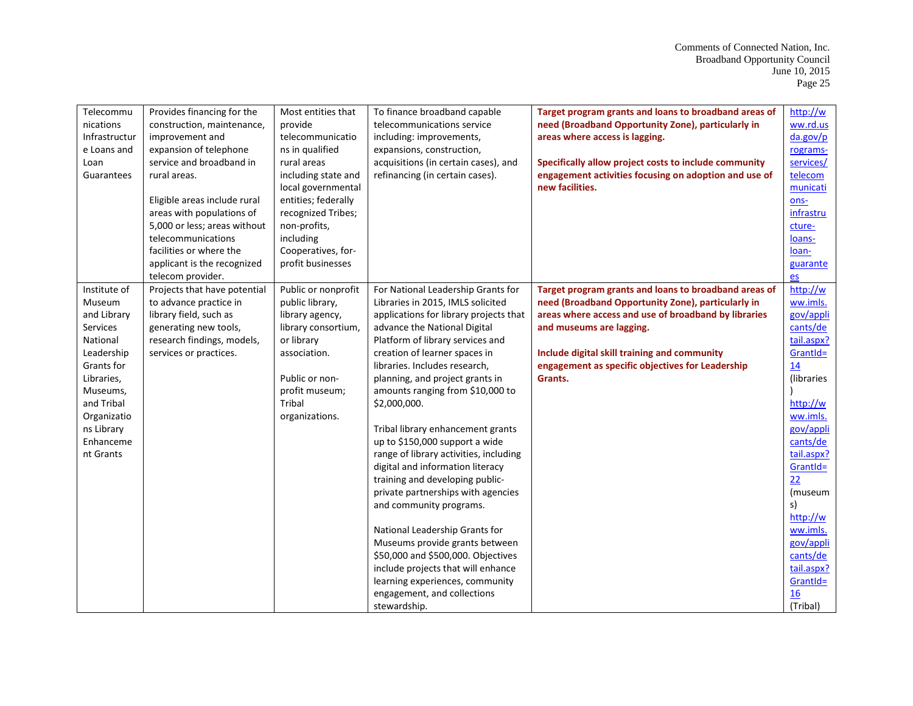| Telecommu     |                              | Most entities that  |                                        |                                                       | http://w   |
|---------------|------------------------------|---------------------|----------------------------------------|-------------------------------------------------------|------------|
|               | Provides financing for the   |                     | To finance broadband capable           | Target program grants and loans to broadband areas of |            |
| nications     | construction, maintenance,   | provide             | telecommunications service             | need (Broadband Opportunity Zone), particularly in    | ww.rd.us   |
| Infrastructur | improvement and              | telecommunicatio    | including: improvements,               | areas where access is lagging.                        | da.gov/p   |
| e Loans and   | expansion of telephone       | ns in qualified     | expansions, construction,              |                                                       | rograms-   |
| Loan          | service and broadband in     | rural areas         | acquisitions (in certain cases), and   | Specifically allow project costs to include community | services/  |
| Guarantees    | rural areas.                 | including state and | refinancing (in certain cases).        | engagement activities focusing on adoption and use of | telecom    |
|               |                              | local governmental  |                                        | new facilities.                                       | municati   |
|               | Eligible areas include rural | entities; federally |                                        |                                                       | ons-       |
|               | areas with populations of    | recognized Tribes;  |                                        |                                                       | infrastru  |
|               | 5,000 or less; areas without | non-profits,        |                                        |                                                       | cture-     |
|               | telecommunications           | including           |                                        |                                                       | loans-     |
|               | facilities or where the      | Cooperatives, for-  |                                        |                                                       | loan-      |
|               | applicant is the recognized  | profit businesses   |                                        |                                                       | guarante   |
|               | telecom provider.            |                     |                                        |                                                       | es         |
| Institute of  | Projects that have potential | Public or nonprofit | For National Leadership Grants for     | Target program grants and loans to broadband areas of | http://w   |
| Museum        | to advance practice in       | public library,     | Libraries in 2015, IMLS solicited      | need (Broadband Opportunity Zone), particularly in    | ww.imls.   |
| and Library   | library field, such as       | library agency,     | applications for library projects that | areas where access and use of broadband by libraries  | gov/appli  |
| Services      | generating new tools,        | library consortium, | advance the National Digital           | and museums are lagging.                              | cants/de   |
| National      | research findings, models,   | or library          | Platform of library services and       |                                                       | tail.aspx? |
| Leadership    | services or practices.       | association.        | creation of learner spaces in          | Include digital skill training and community          | GrantId=   |
| Grants for    |                              |                     | libraries. Includes research,          | engagement as specific objectives for Leadership      | 14         |
| Libraries,    |                              | Public or non-      | planning, and project grants in        | Grants.                                               | (libraries |
| Museums,      |                              | profit museum;      | amounts ranging from \$10,000 to       |                                                       |            |
| and Tribal    |                              | Tribal              | \$2,000,000.                           |                                                       | http://w   |
| Organizatio   |                              | organizations.      |                                        |                                                       | ww.imls.   |
| ns Library    |                              |                     | Tribal library enhancement grants      |                                                       | gov/appli  |
| Enhanceme     |                              |                     | up to \$150,000 support a wide         |                                                       | cants/de   |
| nt Grants     |                              |                     | range of library activities, including |                                                       | tail.aspx? |
|               |                              |                     |                                        |                                                       |            |
|               |                              |                     | digital and information literacy       |                                                       | GrantId=   |
|               |                              |                     | training and developing public-        |                                                       | 22         |
|               |                              |                     | private partnerships with agencies     |                                                       | (museum    |
|               |                              |                     | and community programs.                |                                                       | s)         |
|               |                              |                     |                                        |                                                       | http://w   |
|               |                              |                     | National Leadership Grants for         |                                                       | ww.imls.   |
|               |                              |                     | Museums provide grants between         |                                                       | gov/appli  |
|               |                              |                     | \$50,000 and \$500,000. Objectives     |                                                       | cants/de   |
|               |                              |                     | include projects that will enhance     |                                                       | tail.aspx? |
|               |                              |                     | learning experiences, community        |                                                       | GrantId=   |
|               |                              |                     | engagement, and collections            |                                                       | 16         |
|               |                              |                     | stewardship.                           |                                                       | (Tribal)   |